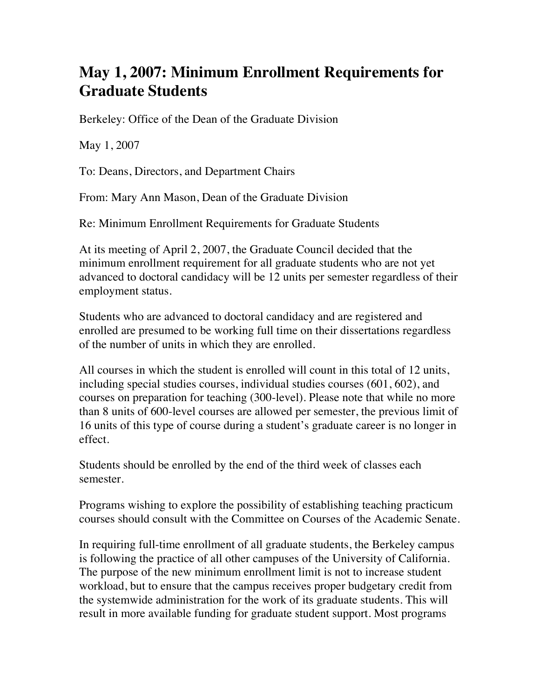## **May 1, 2007: Minimum Enrollment Requirements for Graduate Students**

Berkeley: Office of the Dean of the Graduate Division

May 1, 2007

To: Deans, Directors, and Department Chairs

From: Mary Ann Mason, Dean of the Graduate Division

Re: Minimum Enrollment Requirements for Graduate Students

At its meeting of April 2, 2007, the Graduate Council decided that the minimum enrollment requirement for all graduate students who are not yet advanced to doctoral candidacy will be 12 units per semester regardless of their employment status.

Students who are advanced to doctoral candidacy and are registered and enrolled are presumed to be working full time on their dissertations regardless of the number of units in which they are enrolled.

All courses in which the student is enrolled will count in this total of 12 units, including special studies courses, individual studies courses (601, 602), and courses on preparation for teaching (300-level). Please note that while no more than 8 units of 600-level courses are allowed per semester, the previous limit of 16 units of this type of course during a student's graduate career is no longer in effect.

Students should be enrolled by the end of the third week of classes each semester.

Programs wishing to explore the possibility of establishing teaching practicum courses should consult with the Committee on Courses of the Academic Senate.

In requiring full-time enrollment of all graduate students, the Berkeley campus is following the practice of all other campuses of the University of California. The purpose of the new minimum enrollment limit is not to increase student workload, but to ensure that the campus receives proper budgetary credit from the systemwide administration for the work of its graduate students. This will result in more available funding for graduate student support. Most programs